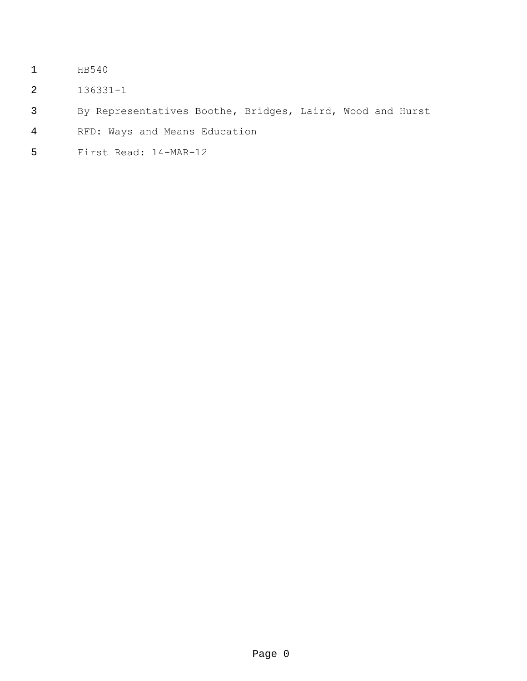- HB540
- 136331-1
- By Representatives Boothe, Bridges, Laird, Wood and Hurst
- RFD: Ways and Means Education
- First Read: 14-MAR-12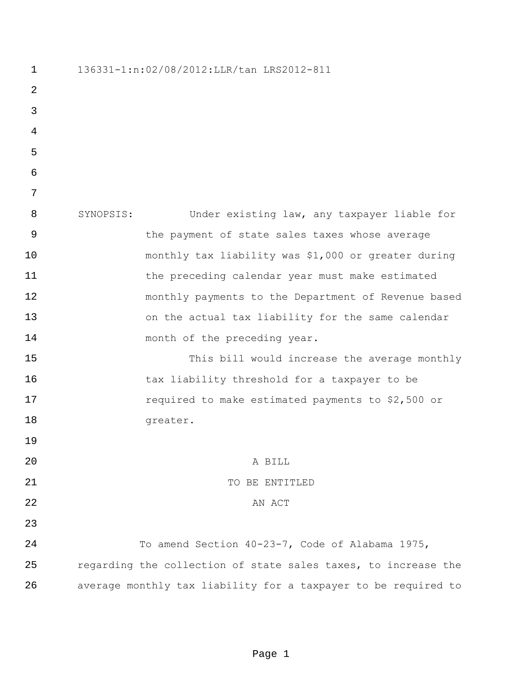| $\mathbf 1$ | 136331-1:n:02/08/2012:LLR/tan LRS2012-811 |                                                                |
|-------------|-------------------------------------------|----------------------------------------------------------------|
| 2           |                                           |                                                                |
| 3           |                                           |                                                                |
| 4           |                                           |                                                                |
| 5           |                                           |                                                                |
| $\epsilon$  |                                           |                                                                |
| 7           |                                           |                                                                |
| 8           | SYNOPSIS:                                 | Under existing law, any taxpayer liable for                    |
| 9           |                                           | the payment of state sales taxes whose average                 |
| 10          |                                           | monthly tax liability was \$1,000 or greater during            |
| 11          |                                           | the preceding calendar year must make estimated                |
| 12          |                                           | monthly payments to the Department of Revenue based            |
| 13          |                                           | on the actual tax liability for the same calendar              |
| 14          |                                           | month of the preceding year.                                   |
| 15          |                                           | This bill would increase the average monthly                   |
| 16          |                                           | tax liability threshold for a taxpayer to be                   |
| 17          |                                           | required to make estimated payments to \$2,500 or              |
| 18          |                                           | greater.                                                       |
| 19          |                                           |                                                                |
| 20          |                                           | A BILL                                                         |
| 21          |                                           | TO BE ENTITLED                                                 |
| 22          |                                           | AN ACT                                                         |
| 23          |                                           |                                                                |
| 24          |                                           | To amend Section 40-23-7, Code of Alabama 1975,                |
| 25          |                                           | regarding the collection of state sales taxes, to increase the |
| 26          |                                           | average monthly tax liability for a taxpayer to be required to |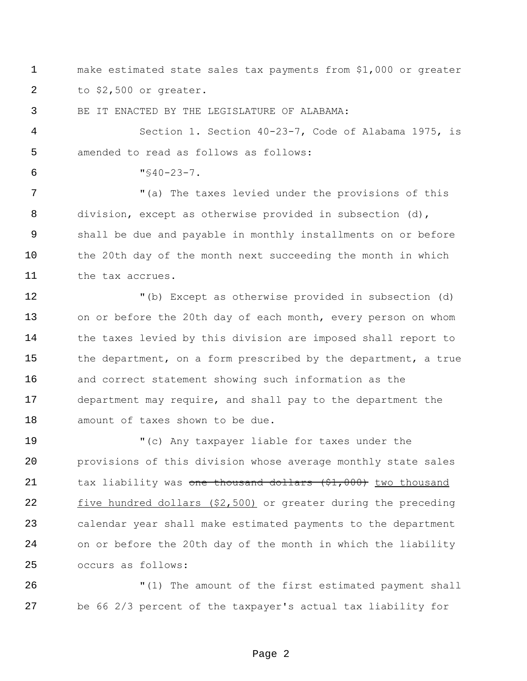make estimated state sales tax payments from \$1,000 or greater to \$2,500 or greater.

BE IT ENACTED BY THE LEGISLATURE OF ALABAMA:

 Section 1. Section 40-23-7, Code of Alabama 1975, is amended to read as follows as follows:

 $6 \text{ } "S40-23-7.$ 

7 The taxes levied under the provisions of this division, except as otherwise provided in subsection (d), shall be due and payable in monthly installments on or before the 20th day of the month next succeeding the month in which the tax accrues.

 "(b) Except as otherwise provided in subsection (d) on or before the 20th day of each month, every person on whom 14 the taxes levied by this division are imposed shall report to the department, on a form prescribed by the department, a true and correct statement showing such information as the department may require, and shall pay to the department the amount of taxes shown to be due.

 "(c) Any taxpayer liable for taxes under the provisions of this division whose average monthly state sales 21 tax liability was one thousand dollars (\$1,000) two thousand 22 five hundred dollars (\$2,500) or greater during the preceding calendar year shall make estimated payments to the department on or before the 20th day of the month in which the liability occurs as follows:

 "(1) The amount of the first estimated payment shall be 66 2/3 percent of the taxpayer's actual tax liability for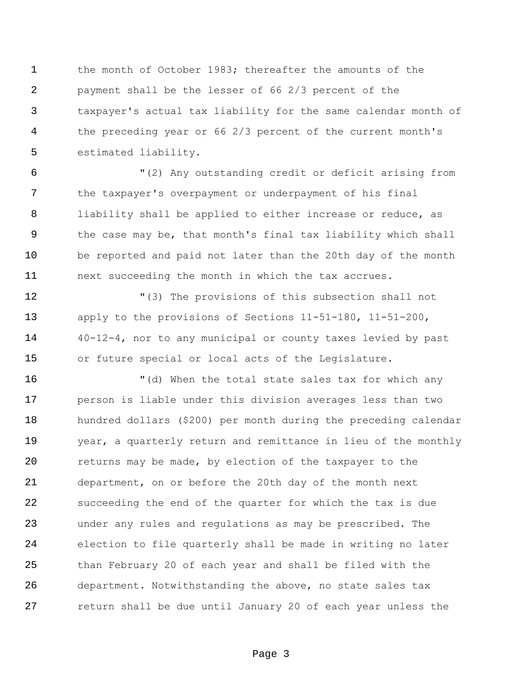the month of October 1983; thereafter the amounts of the payment shall be the lesser of 66 2/3 percent of the taxpayer's actual tax liability for the same calendar month of the preceding year or 66 2/3 percent of the current month's estimated liability.

 "(2) Any outstanding credit or deficit arising from the taxpayer's overpayment or underpayment of his final liability shall be applied to either increase or reduce, as the case may be, that month's final tax liability which shall be reported and paid not later than the 20th day of the month next succeeding the month in which the tax accrues.

 "(3) The provisions of this subsection shall not apply to the provisions of Sections 11-51-180, 11-51-200, 40-12-4, nor to any municipal or county taxes levied by past or future special or local acts of the Legislature.

 "(d) When the total state sales tax for which any person is liable under this division averages less than two hundred dollars (\$200) per month during the preceding calendar year, a quarterly return and remittance in lieu of the monthly returns may be made, by election of the taxpayer to the department, on or before the 20th day of the month next succeeding the end of the quarter for which the tax is due under any rules and regulations as may be prescribed. The election to file quarterly shall be made in writing no later than February 20 of each year and shall be filed with the department. Notwithstanding the above, no state sales tax return shall be due until January 20 of each year unless the

Page 3